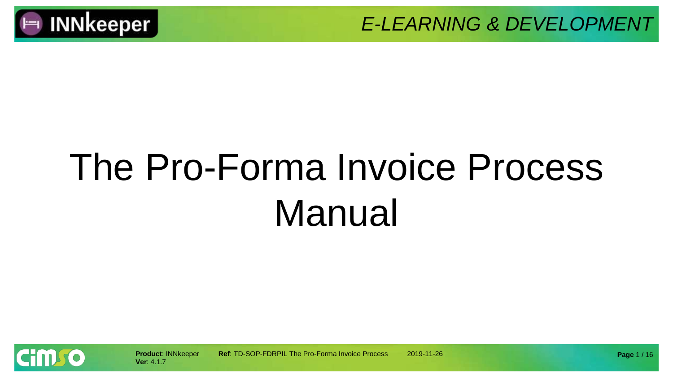

# The Pro-Forma Invoice Process Manual

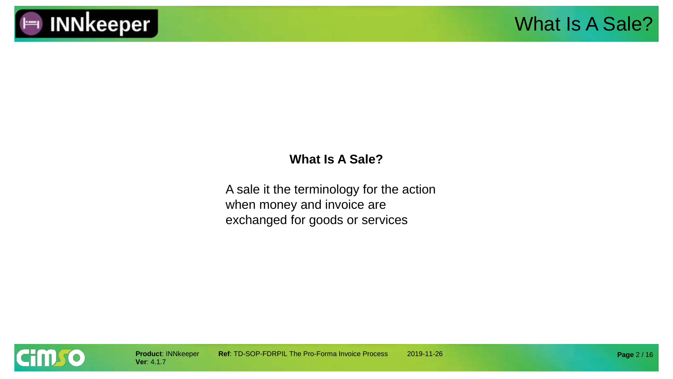

#### **What Is A Sale?**

A sale it the terminology for the action when money and invoice are exchanged for goods or services

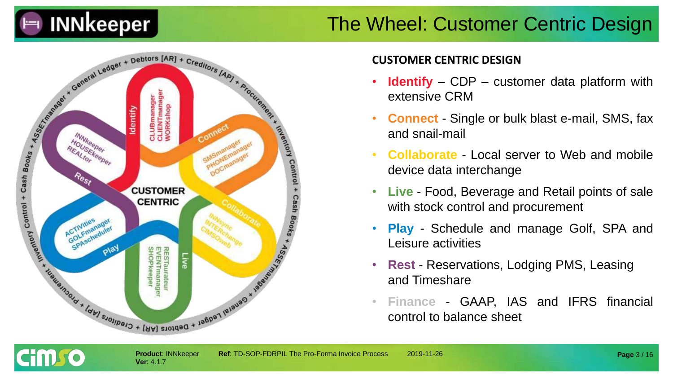

### The Wheel: Customer Centric Design



#### **CUSTOMER CENTRIC DESIGN**

- **Identify** CDP customer data platform with extensive CRM
- **Connect** Single or bulk blast e-mail, SMS, fax and snail-mail
- **Collaborate** Local server to Web and mobile device data interchange
- **Live** Food, Beverage and Retail points of sale with stock control and procurement
- **Play** Schedule and manage Golf, SPA and Leisure activities
- **Rest** Reservations, Lodging PMS, Leasing and Timeshare
- **Finance** GAAP, IAS and IFRS financial control to balance sheet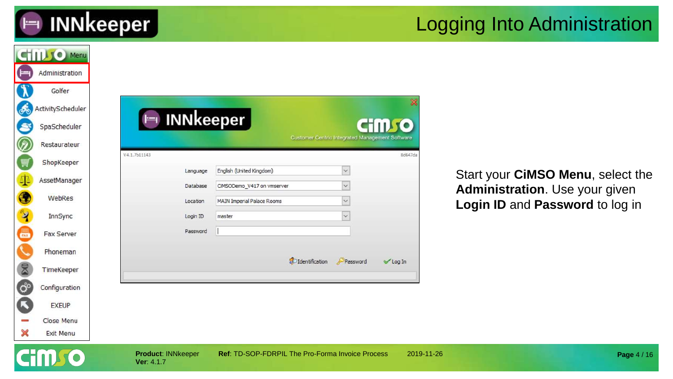

### Logging Into Administration

|                      | <b>CHILLIO</b> Menu |                                         |                                                                 |                                                        |            |                                   |
|----------------------|---------------------|-----------------------------------------|-----------------------------------------------------------------|--------------------------------------------------------|------------|-----------------------------------|
| (  - 1               | Administration      |                                         |                                                                 |                                                        |            |                                   |
|                      | Golfer              |                                         |                                                                 |                                                        |            |                                   |
| கூ                   | ActivityScheduler   |                                         |                                                                 |                                                        |            |                                   |
| S                    | SpaScheduler        | $\vdash$                                | <b>INNkeeper</b>                                                | <b>CHILL TO</b>                                        |            |                                   |
| Ø                    | Restaurateur        |                                         |                                                                 | <b>Customer Centric Integrated Management Software</b> |            |                                   |
| Ų                    | ShopKeeper          | V4.1.7b11143                            |                                                                 |                                                        | 8d647da    |                                   |
| $\Phi$               | AssetManager        | Language                                | English (United Kingdom)                                        | $\vee$                                                 |            | Start your CiMSO Menu, select the |
| $\bullet$            | WebRes              | Database                                | CIMSODemo_V417 on vmserver<br><b>MAIN Imperial Palace Rooms</b> | $\checkmark$                                           |            | Administration. Use your given    |
| $\mathbf{\hat{z}}$   | InnSync             | Location<br>Login ID                    | master                                                          |                                                        |            | Login ID and Password to log in   |
| 高级                   | Fax Server          | Password                                |                                                                 |                                                        |            |                                   |
|                      |                     |                                         |                                                                 |                                                        |            |                                   |
|                      | Phoneman            |                                         | dentification                                                   | Password<br><b>√Log In</b>                             |            |                                   |
| 8                    | TimeKeeper          |                                         |                                                                 |                                                        |            |                                   |
| $\mathbf{G}^{\circ}$ | Configuration       |                                         |                                                                 |                                                        |            |                                   |
| C                    | <b>EXEUP</b>        |                                         |                                                                 |                                                        |            |                                   |
|                      | Close Menu          |                                         |                                                                 |                                                        |            |                                   |
| ×                    | Exit Menu           |                                         |                                                                 |                                                        |            |                                   |
|                      |                     | <b>Product: INNkeeper</b><br>Ver: 4.1.7 | Ref: TD-SOP-FDRPIL The Pro-Forma Invoice Process                |                                                        | 2019-11-26 | Page 4 / 16                       |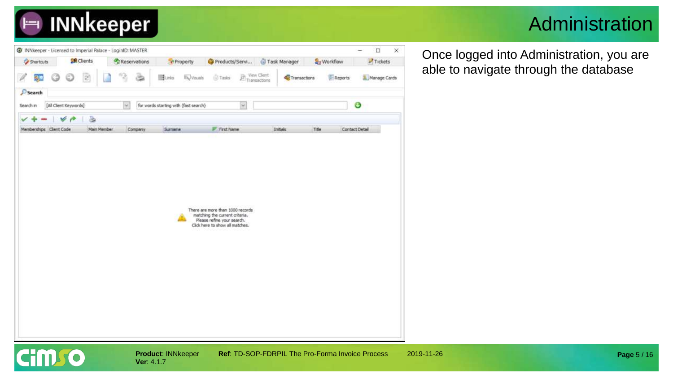

### Administration

| Shortcuts               | <b>SR</b> Clients       | Reservations | *Property                             | Products/Servi                                                                                                            | Task Manager                | Workflow |                | $\blacksquare$ Tickets |
|-------------------------|-------------------------|--------------|---------------------------------------|---------------------------------------------------------------------------------------------------------------------------|-----------------------------|----------|----------------|------------------------|
| 8ļe                     | $\overline{z}$          | 12           | <b>By Visuals</b><br><b>B</b> urks    | $\begin{tabular}{ c c } \hline & \text{New} & \text{New} \\ \hline \text{Transactions} & \end{tabular}$<br><b>S</b> Tasks | View Client<br>Transactions |          | Reports        | Manage Cards           |
| $P$ Search              |                         |              |                                       |                                                                                                                           |                             |          |                |                        |
| Search in               | [All Client Keywords]   | $\sim$       | for words starting with (fast search) | $[\infty]$                                                                                                                |                             |          | O              |                        |
| Memberships Client Code | a<br>V P<br>Main Member | Company      | Surname                               | F Frst Name                                                                                                               | Initials                    | Title    | Contact Detail |                        |
|                         |                         |              |                                       |                                                                                                                           |                             |          |                |                        |
|                         |                         |              |                                       |                                                                                                                           |                             |          |                |                        |
|                         |                         |              |                                       |                                                                                                                           |                             |          |                |                        |
|                         |                         |              |                                       |                                                                                                                           |                             |          |                |                        |
|                         |                         |              |                                       |                                                                                                                           |                             |          |                |                        |
|                         |                         |              |                                       |                                                                                                                           |                             |          |                |                        |
|                         |                         |              |                                       |                                                                                                                           |                             |          |                |                        |
|                         |                         |              |                                       |                                                                                                                           |                             |          |                |                        |
|                         |                         |              |                                       |                                                                                                                           |                             |          |                |                        |
|                         |                         |              |                                       |                                                                                                                           |                             |          |                |                        |
|                         |                         |              |                                       | There are more than 1000 records<br>matching the current criteria.                                                        |                             |          |                |                        |
|                         |                         |              |                                       | Please refine your search.                                                                                                |                             |          |                |                        |
|                         |                         |              |                                       | Click here to show all matches.                                                                                           |                             |          |                |                        |
|                         |                         |              |                                       |                                                                                                                           |                             |          |                |                        |
|                         |                         |              |                                       |                                                                                                                           |                             |          |                |                        |
|                         |                         |              |                                       |                                                                                                                           |                             |          |                |                        |
|                         |                         |              |                                       |                                                                                                                           |                             |          |                |                        |
|                         |                         |              |                                       |                                                                                                                           |                             |          |                |                        |
|                         |                         |              |                                       |                                                                                                                           |                             |          |                |                        |
|                         |                         |              |                                       |                                                                                                                           |                             |          |                |                        |
|                         |                         |              |                                       |                                                                                                                           |                             |          |                |                        |
|                         |                         |              |                                       |                                                                                                                           |                             |          |                |                        |
|                         |                         |              |                                       |                                                                                                                           |                             |          |                |                        |
|                         |                         |              |                                       |                                                                                                                           |                             |          |                |                        |
|                         |                         |              |                                       |                                                                                                                           |                             |          |                |                        |

**Ver**: 4.1.7

O

**Product**: INNkeeper **Ref**: TD-SOP-FDRPIL The Pro-Forma Invoice Process 2019-11-26

Once logged into Administration, you are able to navigate through the database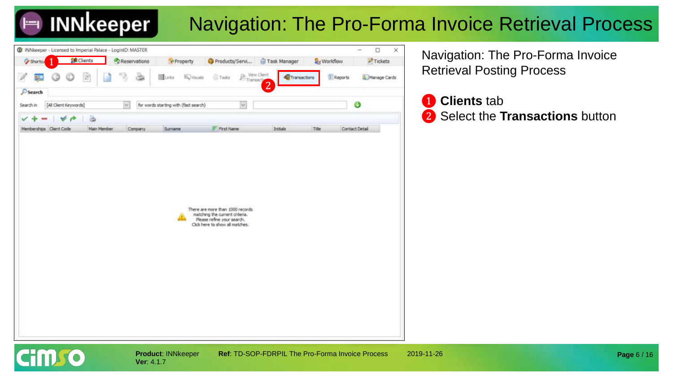### Navigation: The Pro-Forma Invoice Retrieval Process



Navigation: The Pro-Forma Invoice Retrieval Posting Process

#### ❶ **Clients** tab ❷ Select the **Transactions** button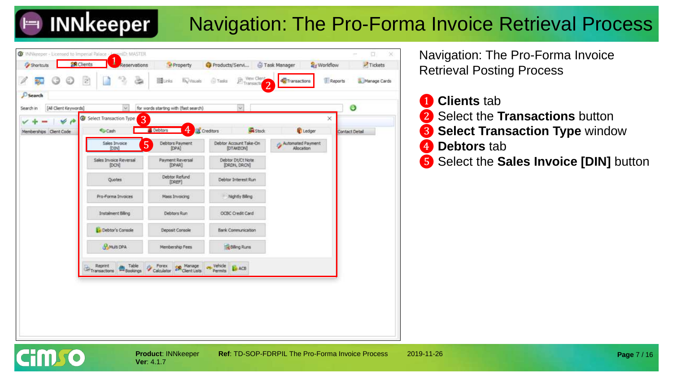

### Navigation: The Pro-Forma Invoice Retrieval Process



Navigation: The Pro-Forma Invoice Retrieval Posting Process

- **Clients** tab ❷ Select the **Transactions** button ❸ **Select Transaction Type** window **4** Debtors tab
- ❺ Select the **Sales Invoice [DIN]** button

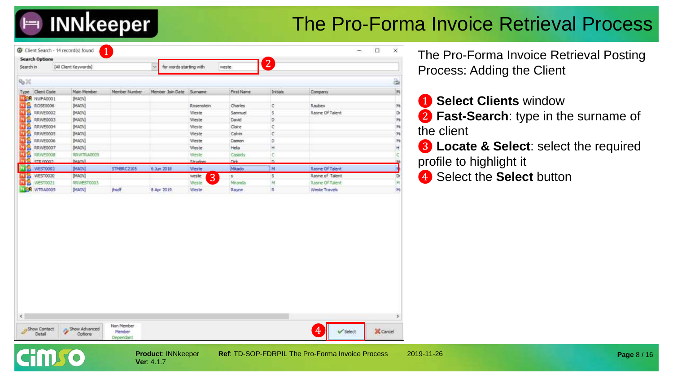### The Pro-Forma Invoice Retrieval Process

| Search in            | <b>Search Options</b><br>[All Client Keywords] |                   | for words starting with<br>$\sim$ |            | weste      | $\boxed{2}$             |                 |    |
|----------------------|------------------------------------------------|-------------------|-----------------------------------|------------|------------|-------------------------|-----------------|----|
|                      |                                                |                   |                                   |            |            |                         |                 |    |
| 9.20                 |                                                |                   |                                   |            |            |                         |                 | è  |
| Type Client Code     | Main Member                                    | Member Number     | Member Join Date                  | Surname    | First Name | Initials                | Company         | M  |
| <b>NEW NWFA0001</b>  | <b>[MAIN]</b>                                  |                   |                                   |            |            |                         |                 |    |
| NБ<br>ROSE0006       | [MAIN]                                         |                   |                                   | Rosenstein | Charles    | c.                      | <b>Raubex</b>   | M  |
| чS<br>RRWE0002       | [MAIN]                                         |                   |                                   | Weste      | Samnuel    | s.                      | Rayne Of Talent | Dr |
| ыs<br>RRWE0003       | [MAIN]                                         |                   |                                   | Weste      | David      | D                       |                 | M  |
| RRWE0004             | [MAIN]                                         |                   |                                   | Weste      | Claire     | c                       |                 | M  |
| 518<br>RRWE0005      | [MAIN]                                         |                   |                                   | Weste      | Calvin     | ¢                       |                 | M  |
| RRWE0006             | [MAIN]                                         |                   |                                   | Weste      | Damon      | D                       |                 | M  |
| RRWE0007             | [MAIN]                                         |                   |                                   | Weste      | Hela       | Ħ                       |                 | Ħ  |
| 98<br>RRWE000B       | RRWTRA0005                                     |                   |                                   | Weste      | Casody     | c                       |                 |    |
| <b>COONWORD</b>      | <b>DAATIVE</b>                                 |                   |                                   | Chrysley   | mid        | n                       |                 |    |
| WEST0003             | [MAIN]                                         | <b>STMBRC2105</b> | 6 Jun 2018                        | Weste      | Mikada     | $\mathbb{M}$            | Rayne Of Talent |    |
| WEST0020<br>шъ       | [MAIN]                                         |                   |                                   | 3<br>weste | s          | $\overline{\mathbf{5}}$ | Rayne of Talent | Dr |
|                      |                                                |                   |                                   |            |            |                         |                 |    |
| мp<br>WE5T0021       | RRWEST0003                                     |                   |                                   | Weste      | Miranda    | M                       | Rayne Of Talent | M  |
| <b>JECK WTRA0005</b> | [MAIN]                                         | thedf             | 8 Apr 2019                        | Weste      | Rayne      | R.                      | Weste Travels   | M  |
|                      |                                                |                   |                                   |            |            |                         |                 |    |
|                      |                                                |                   |                                   |            |            |                         |                 |    |
|                      |                                                |                   |                                   |            |            |                         |                 |    |
|                      |                                                |                   |                                   |            |            |                         |                 |    |
|                      |                                                |                   |                                   |            |            |                         |                 |    |
|                      |                                                |                   |                                   |            |            |                         |                 |    |
|                      |                                                |                   |                                   |            |            |                         |                 |    |
|                      |                                                |                   |                                   |            |            |                         |                 |    |
|                      |                                                |                   |                                   |            |            |                         |                 |    |
|                      |                                                |                   |                                   |            |            |                         |                 |    |
|                      |                                                |                   |                                   |            |            |                         |                 |    |

**Ver**: 4.1.7

The Pro-Forma Invoice Retrieval Posting Process: Adding the Client

❶ **Select Clients** window

❷ **Fast-Search**: type in the surname of the client

❸ **Locate & Select**: select the required profile to highlight it

4 Select the **Select** button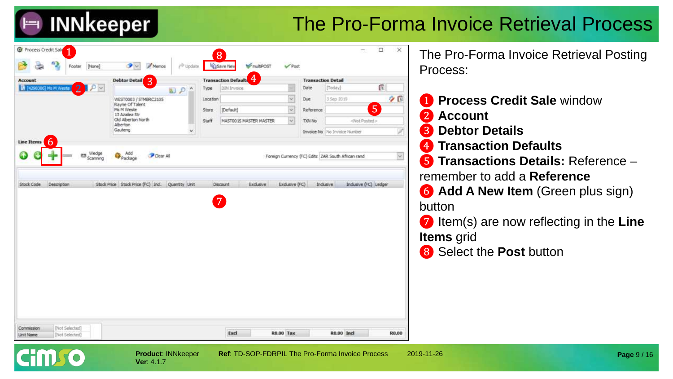### The Pro-Forma Invoice Retrieval Process

| <b>Account</b>          |                |               | 3<br><b>Debtor Detail</b>                |              |              | <b>Transaction Defaults</b> |            | <b>Transaction Detail</b> |                                                    |   |            |
|-------------------------|----------------|---------------|------------------------------------------|--------------|--------------|-----------------------------|------------|---------------------------|----------------------------------------------------|---|------------|
| Et [4298386] Ms M Weste | $\overline{2}$ | $\mathcal{P}$ |                                          | $D^{\wedge}$ | Type         | DIN Invoice                 |            | Date                      | [Today]                                            | Ö |            |
|                         |                |               | WEST0003 / STMBRC2105<br>Rayne Of Talent |              | Location     |                             | $\backsim$ | Due                       | 3 Sep 2019                                         |   | 20         |
|                         |                |               | Ms M Weste<br>13 Azalea Str              |              | Store        | [Default]                   | $\omega$   | Reference                 |                                                    | 5 |            |
|                         |                |               | Old Alberton North<br>Alberton           |              | <b>Staff</b> | MASTOO IS MASTER MASTER.    | $\backsim$ | TXIN No                   | <not posted=""></not>                              |   |            |
|                         |                |               | Gauteng                                  | v            |              |                             |            |                           | Invoice No   No Invoice Number                     |   | V,         |
| 6<br>Line Items         |                |               |                                          |              |              |                             |            |                           |                                                    |   |            |
|                         | 1229           | Wedge         | Add                                      | Clear All    |              |                             |            |                           | Foreign Currency (FC) Edits ZAR South African rand |   | $\backsim$ |
|                         |                | Scanning      | Padrage                                  |              |              |                             |            |                           |                                                    |   |            |
|                         |                |               |                                          |              |              | $\overline{7}$              |            |                           |                                                    |   |            |
|                         |                |               |                                          |              |              |                             |            |                           |                                                    |   |            |
|                         |                |               |                                          |              |              |                             |            |                           |                                                    |   |            |
|                         |                |               |                                          |              |              |                             |            |                           |                                                    |   |            |
|                         |                |               |                                          |              |              |                             |            |                           |                                                    |   |            |
|                         |                |               |                                          |              |              |                             |            |                           |                                                    |   |            |

❽ The Pro-Forma Invoice Retrieval Posting Process:

- ❶ **Process Credit Sale** window ❷ **Account**
- ❸ **Debtor Details**
- ❹ **Transaction Defaults**
- ❺ **Transactions Details:** Reference remember to add a **Reference**
- ❻ **Add A New Item** (Green plus sign) button

❼ Item(s) are now reflecting in the **Line Items** grid

❽ Select the **Post** button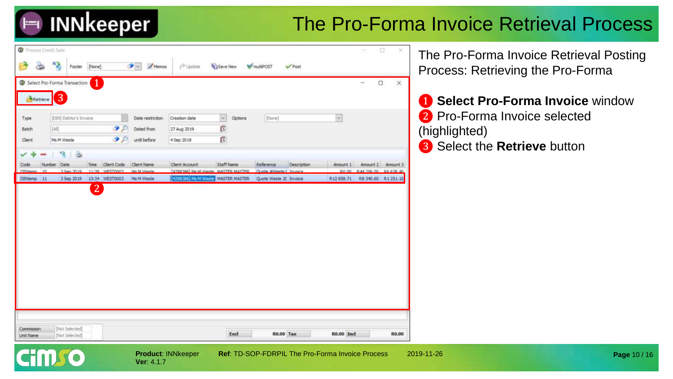### The Pro-Forma Invoice Retrieval Process

|            |                                           | G Select Pro-Forma Transaction | 1              |               |                  |                                                                           |            |         |                            |             |                       | $\Box$<br>-          | $\times$ |
|------------|-------------------------------------------|--------------------------------|----------------|---------------|------------------|---------------------------------------------------------------------------|------------|---------|----------------------------|-------------|-----------------------|----------------------|----------|
|            |                                           | 3                              |                |               |                  |                                                                           |            |         |                            |             |                       |                      |          |
| Retrieve   |                                           |                                |                |               |                  |                                                                           |            |         |                            |             |                       |                      |          |
| Type       |                                           | [DIN] Debtor's Invoice         |                |               | Date restriction | Creation date                                                             | $\backsim$ | Options | [None]                     |             | $\check{\phantom{a}}$ |                      |          |
| Batch      | $[{\color{blue} \Delta}{\color{blue} J}]$ |                                |                | $\bullet$     | Dated from       | 27 Aug 2019                                                               | f.         |         |                            |             |                       |                      |          |
| Client     |                                           | Ms M Weste                     |                | $\mathcal{P}$ | until before     | 4 Sep 2019                                                                | Ġ          |         |                            |             |                       |                      |          |
|            |                                           | ä<br>٩                         |                |               |                  |                                                                           |            |         |                            |             |                       |                      |          |
| Code       | Number:                                   | Date                           | Time           | Client Code   | Client Name      | Client Account                                                            | Staff Name |         | Reference                  | Description | Amount 1              | Amount 2             | Amount 3 |
| Offittenes | 10 <sub>1</sub>                           | 3 Sen 2019                     | 11:59          | WESTOODS      | McM Weete        | [4708'386] Me M Waste MASTER MASTER<br>[4298386] Ms M Weste MASTER MASTER |            |         | Currica #Wester L. Imprine |             | pn nn                 | 044 356 00 06 638 40 |          |
|            |                                           |                                | $\overline{2}$ |               |                  |                                                                           |            |         |                            |             |                       |                      |          |
|            |                                           |                                |                |               |                  |                                                                           |            |         |                            |             |                       |                      |          |
|            |                                           |                                |                |               |                  |                                                                           |            |         |                            |             |                       |                      |          |
|            |                                           |                                |                |               |                  |                                                                           |            |         |                            |             |                       |                      |          |
|            |                                           |                                |                |               |                  |                                                                           |            |         |                            |             |                       |                      |          |
|            |                                           |                                |                |               |                  |                                                                           |            |         |                            |             |                       |                      |          |
|            |                                           |                                |                |               |                  |                                                                           |            |         |                            |             |                       |                      |          |
|            |                                           |                                |                |               |                  |                                                                           |            |         |                            |             |                       |                      |          |
|            |                                           |                                |                |               |                  |                                                                           |            |         |                            |             |                       |                      |          |

**Ver**: 4.1.7

**Product**: INNkeeper **Ref**: TD-SOP-FDRPIL The Pro-Forma Invoice Process 2019-11-26

The Pro-Forma Invoice Retrieval Posting Process: Retrieving the Pro-Forma

❶ **Select Pro-Forma Invoice** window 2 Pro-Forma Invoice selected (highlighted) ❸ Select the **Retrieve** button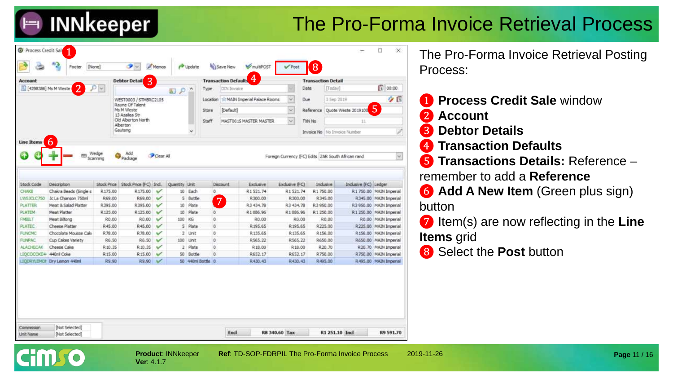### The Pro-Forma Invoice Retrieval Process

| T4298386] Ms M Weste<br>$\mathcal{D}$ v.<br>Date<br>[Today]<br>DIN Invoice<br>$\lambda$<br>Type<br>P<br>园<br>sir MAIN Imperial Palace Rooms<br>M.<br>Due<br>3-Sep 2019<br>WEST0003 / STMBRC2105<br>Location<br>Rayne Of Talent<br>5<br>Ms M Weste<br>[Default]<br>$\omega$<br>Reference Quote Weste 2019100<br>Store<br>13 Azalea Str<br>Old Alberton North<br>$\omega$<br>Staff<br>MASTO01S MASTER MASTER<br>TXN No<br>11<br>Alberton<br>Gauteng<br>$\omega$<br>Invoice No No Invoice Number<br>6<br>Line Items<br>Wedge<br>Add<br><b>Hill</b><br>Clear All<br>Foreign Currency (FC) Edits 2AR South African rand<br>Package<br>Scanning<br>Stock Price Stock Price (FC) Incl.<br>Stock Code<br><b>Description</b><br>Quantity Linit<br>Exclusive<br>Exdusive (FC)<br>Industre<br>Inclusive (FC) Ledger<br>Discount<br><b>CHAKE</b><br>Chakra Beads (Single s<br>R175.00<br>R175.00<br>10 Each<br>0<br>R1521.74<br>R1521.74<br>R1750.00<br>$\checkmark$<br>R1 750.00 MAIN Imperial<br>LWSJCLC750<br>Jc La Chanson 750ml<br>R69.00<br>R69.00<br>$\checkmark$<br>5 Bottle<br>R300.00<br>R300.00<br>R345.00<br>R345.00 MAIN Imperial<br>7<br><b>PLATTER</b><br>Meat & Salad Platter<br>R395.00<br>$\checkmark$<br>10 Plate<br>R3 434.78<br>R3 434.78<br>R3950.00<br>R3 950.00 MAIN Imperial<br>R395.00<br>Meat Platter<br><b>PLATEM</b><br>R125.00<br>R125.00<br>10 <sup>°</sup><br>Plate<br>O.<br>R1086.96<br>R1086.96<br>R1 250.00<br>R 1 250.00 MAIN Imperial<br>v<br><b>FMBILT</b><br>Meat Biltong<br>R0.00<br>100 KG<br>$\circ$<br>R0.00<br>R0.00 MAIN Imperial<br>R0.00<br>$\checkmark$<br>R0.00<br>R0.00<br>ō<br>PLATEC<br>Cheese Platter<br>R45.00<br>R45.00<br>5 Plate<br>R195.65<br>R195.65<br>R225.00<br>R225.00 MAIN Imperial<br>$\checkmark$<br>FUNCMO<br>Chocolate Mousse Calo<br>R78.00<br>o<br>R135.65<br>R135.65<br>R156.00<br>R156.00 MAIN Imperial<br>R78.00<br>$\checkmark$<br>2 Unit<br>Cup Cakes Variety<br><b>FUNPAC</b><br>R6.50<br>R6.50<br>100 Unit<br>٥<br>R565.22<br>R565.22<br>R650.00<br>R650.00 MAIN Imperial<br>$\mathbf{v}$<br>٥<br><b>ALACHECAK</b><br>Cheese Cake<br>R 10.35<br>2 Plate<br>R18.00<br>R18.00<br>R.20.70<br>R10.35<br>$\checkmark$<br>R.20.70 MAIN Imperial<br>LIOCOCOKE4 440ml Coke<br>R15.00<br>✓<br>50<br>Bottle<br>$\circ$<br>R652.17<br>R652.17<br>R750.00<br>R750.00 MAIN Imperial<br>R <sub>15.00</sub> |  | 3<br><b>Debtor Detail</b> |  |  | <b>Transaction Defaults</b> | 4 | <b>Transaction Detail</b> |  |                       |
|---------------------------------------------------------------------------------------------------------------------------------------------------------------------------------------------------------------------------------------------------------------------------------------------------------------------------------------------------------------------------------------------------------------------------------------------------------------------------------------------------------------------------------------------------------------------------------------------------------------------------------------------------------------------------------------------------------------------------------------------------------------------------------------------------------------------------------------------------------------------------------------------------------------------------------------------------------------------------------------------------------------------------------------------------------------------------------------------------------------------------------------------------------------------------------------------------------------------------------------------------------------------------------------------------------------------------------------------------------------------------------------------------------------------------------------------------------------------------------------------------------------------------------------------------------------------------------------------------------------------------------------------------------------------------------------------------------------------------------------------------------------------------------------------------------------------------------------------------------------------------------------------------------------------------------------------------------------------------------------------------------------------------------------------------------------------------------------------------------------------------------------------------------------------------------------------------------------------------------------------------------------------------------------------------------------------------------------------------------------|--|---------------------------|--|--|-----------------------------|---|---------------------------|--|-----------------------|
|                                                                                                                                                                                                                                                                                                                                                                                                                                                                                                                                                                                                                                                                                                                                                                                                                                                                                                                                                                                                                                                                                                                                                                                                                                                                                                                                                                                                                                                                                                                                                                                                                                                                                                                                                                                                                                                                                                                                                                                                                                                                                                                                                                                                                                                                                                                                                               |  |                           |  |  |                             |   |                           |  | 1 00:00               |
|                                                                                                                                                                                                                                                                                                                                                                                                                                                                                                                                                                                                                                                                                                                                                                                                                                                                                                                                                                                                                                                                                                                                                                                                                                                                                                                                                                                                                                                                                                                                                                                                                                                                                                                                                                                                                                                                                                                                                                                                                                                                                                                                                                                                                                                                                                                                                               |  |                           |  |  |                             |   |                           |  | 夕日                    |
|                                                                                                                                                                                                                                                                                                                                                                                                                                                                                                                                                                                                                                                                                                                                                                                                                                                                                                                                                                                                                                                                                                                                                                                                                                                                                                                                                                                                                                                                                                                                                                                                                                                                                                                                                                                                                                                                                                                                                                                                                                                                                                                                                                                                                                                                                                                                                               |  |                           |  |  |                             |   |                           |  |                       |
|                                                                                                                                                                                                                                                                                                                                                                                                                                                                                                                                                                                                                                                                                                                                                                                                                                                                                                                                                                                                                                                                                                                                                                                                                                                                                                                                                                                                                                                                                                                                                                                                                                                                                                                                                                                                                                                                                                                                                                                                                                                                                                                                                                                                                                                                                                                                                               |  |                           |  |  |                             |   |                           |  |                       |
|                                                                                                                                                                                                                                                                                                                                                                                                                                                                                                                                                                                                                                                                                                                                                                                                                                                                                                                                                                                                                                                                                                                                                                                                                                                                                                                                                                                                                                                                                                                                                                                                                                                                                                                                                                                                                                                                                                                                                                                                                                                                                                                                                                                                                                                                                                                                                               |  |                           |  |  |                             |   |                           |  |                       |
|                                                                                                                                                                                                                                                                                                                                                                                                                                                                                                                                                                                                                                                                                                                                                                                                                                                                                                                                                                                                                                                                                                                                                                                                                                                                                                                                                                                                                                                                                                                                                                                                                                                                                                                                                                                                                                                                                                                                                                                                                                                                                                                                                                                                                                                                                                                                                               |  |                           |  |  |                             |   |                           |  | ₽                     |
|                                                                                                                                                                                                                                                                                                                                                                                                                                                                                                                                                                                                                                                                                                                                                                                                                                                                                                                                                                                                                                                                                                                                                                                                                                                                                                                                                                                                                                                                                                                                                                                                                                                                                                                                                                                                                                                                                                                                                                                                                                                                                                                                                                                                                                                                                                                                                               |  |                           |  |  |                             |   |                           |  |                       |
|                                                                                                                                                                                                                                                                                                                                                                                                                                                                                                                                                                                                                                                                                                                                                                                                                                                                                                                                                                                                                                                                                                                                                                                                                                                                                                                                                                                                                                                                                                                                                                                                                                                                                                                                                                                                                                                                                                                                                                                                                                                                                                                                                                                                                                                                                                                                                               |  |                           |  |  |                             |   |                           |  |                       |
|                                                                                                                                                                                                                                                                                                                                                                                                                                                                                                                                                                                                                                                                                                                                                                                                                                                                                                                                                                                                                                                                                                                                                                                                                                                                                                                                                                                                                                                                                                                                                                                                                                                                                                                                                                                                                                                                                                                                                                                                                                                                                                                                                                                                                                                                                                                                                               |  |                           |  |  |                             |   |                           |  |                       |
|                                                                                                                                                                                                                                                                                                                                                                                                                                                                                                                                                                                                                                                                                                                                                                                                                                                                                                                                                                                                                                                                                                                                                                                                                                                                                                                                                                                                                                                                                                                                                                                                                                                                                                                                                                                                                                                                                                                                                                                                                                                                                                                                                                                                                                                                                                                                                               |  |                           |  |  |                             |   |                           |  |                       |
|                                                                                                                                                                                                                                                                                                                                                                                                                                                                                                                                                                                                                                                                                                                                                                                                                                                                                                                                                                                                                                                                                                                                                                                                                                                                                                                                                                                                                                                                                                                                                                                                                                                                                                                                                                                                                                                                                                                                                                                                                                                                                                                                                                                                                                                                                                                                                               |  |                           |  |  |                             |   |                           |  |                       |
|                                                                                                                                                                                                                                                                                                                                                                                                                                                                                                                                                                                                                                                                                                                                                                                                                                                                                                                                                                                                                                                                                                                                                                                                                                                                                                                                                                                                                                                                                                                                                                                                                                                                                                                                                                                                                                                                                                                                                                                                                                                                                                                                                                                                                                                                                                                                                               |  |                           |  |  |                             |   |                           |  |                       |
|                                                                                                                                                                                                                                                                                                                                                                                                                                                                                                                                                                                                                                                                                                                                                                                                                                                                                                                                                                                                                                                                                                                                                                                                                                                                                                                                                                                                                                                                                                                                                                                                                                                                                                                                                                                                                                                                                                                                                                                                                                                                                                                                                                                                                                                                                                                                                               |  |                           |  |  |                             |   |                           |  |                       |
|                                                                                                                                                                                                                                                                                                                                                                                                                                                                                                                                                                                                                                                                                                                                                                                                                                                                                                                                                                                                                                                                                                                                                                                                                                                                                                                                                                                                                                                                                                                                                                                                                                                                                                                                                                                                                                                                                                                                                                                                                                                                                                                                                                                                                                                                                                                                                               |  |                           |  |  |                             |   |                           |  |                       |
|                                                                                                                                                                                                                                                                                                                                                                                                                                                                                                                                                                                                                                                                                                                                                                                                                                                                                                                                                                                                                                                                                                                                                                                                                                                                                                                                                                                                                                                                                                                                                                                                                                                                                                                                                                                                                                                                                                                                                                                                                                                                                                                                                                                                                                                                                                                                                               |  |                           |  |  |                             |   |                           |  |                       |
|                                                                                                                                                                                                                                                                                                                                                                                                                                                                                                                                                                                                                                                                                                                                                                                                                                                                                                                                                                                                                                                                                                                                                                                                                                                                                                                                                                                                                                                                                                                                                                                                                                                                                                                                                                                                                                                                                                                                                                                                                                                                                                                                                                                                                                                                                                                                                               |  |                           |  |  |                             |   |                           |  |                       |
|                                                                                                                                                                                                                                                                                                                                                                                                                                                                                                                                                                                                                                                                                                                                                                                                                                                                                                                                                                                                                                                                                                                                                                                                                                                                                                                                                                                                                                                                                                                                                                                                                                                                                                                                                                                                                                                                                                                                                                                                                                                                                                                                                                                                                                                                                                                                                               |  |                           |  |  |                             |   |                           |  |                       |
|                                                                                                                                                                                                                                                                                                                                                                                                                                                                                                                                                                                                                                                                                                                                                                                                                                                                                                                                                                                                                                                                                                                                                                                                                                                                                                                                                                                                                                                                                                                                                                                                                                                                                                                                                                                                                                                                                                                                                                                                                                                                                                                                                                                                                                                                                                                                                               |  |                           |  |  |                             |   |                           |  |                       |
|                                                                                                                                                                                                                                                                                                                                                                                                                                                                                                                                                                                                                                                                                                                                                                                                                                                                                                                                                                                                                                                                                                                                                                                                                                                                                                                                                                                                                                                                                                                                                                                                                                                                                                                                                                                                                                                                                                                                                                                                                                                                                                                                                                                                                                                                                                                                                               |  |                           |  |  |                             |   |                           |  |                       |
| LICORYLEMOP Dry Lemon 440ml<br>R9.90<br>50 440mi Bottle 0<br>R430.43<br>R430.43<br>R495.00<br>R9.90<br>$\mathcal{M}$                                                                                                                                                                                                                                                                                                                                                                                                                                                                                                                                                                                                                                                                                                                                                                                                                                                                                                                                                                                                                                                                                                                                                                                                                                                                                                                                                                                                                                                                                                                                                                                                                                                                                                                                                                                                                                                                                                                                                                                                                                                                                                                                                                                                                                          |  |                           |  |  |                             |   |                           |  | R495.00 MAIN Imperial |
|                                                                                                                                                                                                                                                                                                                                                                                                                                                                                                                                                                                                                                                                                                                                                                                                                                                                                                                                                                                                                                                                                                                                                                                                                                                                                                                                                                                                                                                                                                                                                                                                                                                                                                                                                                                                                                                                                                                                                                                                                                                                                                                                                                                                                                                                                                                                                               |  |                           |  |  |                             |   |                           |  |                       |

The Pro-Forma Invoice Retrieval Posting Process:

- ❶ **Process Credit Sale** window
- ❷ **Account**
- ❸ **Debtor Details**
- ❹ **Transaction Defaults**
- ❺ **Transactions Details:** Reference remember to add a **Reference**
- ❻ **Add A New Item** (Green plus sign) button
- ❼ Item(s) are now reflecting in the **Line Items** grid
- ❽ Select the **Post** button

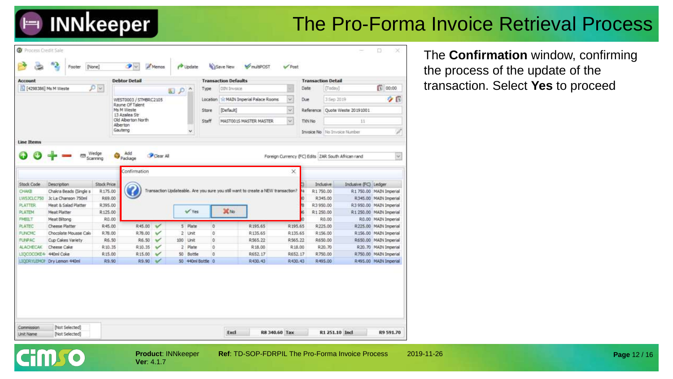**Cim o** 

### The Pro-Forma Invoice Retrieval Process

| <b>Account</b>                 |                                                |                   | <b>Debtor Detail</b>                |                         |     |                   |         | <b>Transaction Defaults</b> |                                                                                  |                    |        | <b>Transaction Detail</b>      |                                |                                                  |
|--------------------------------|------------------------------------------------|-------------------|-------------------------------------|-------------------------|-----|-------------------|---------|-----------------------------|----------------------------------------------------------------------------------|--------------------|--------|--------------------------------|--------------------------------|--------------------------------------------------|
| [4298386] Ms M Weste           |                                                | $\mathcal{P} =$   |                                     |                         | おりへ | Type              |         | DIN Invoice                 |                                                                                  |                    | Date   | [Today]                        |                                | ß<br>00:00                                       |
|                                |                                                |                   | WEST0003 / STMBRC2105               |                         |     |                   |         |                             | Location 12 MAIN Imperial Palace Rooms                                           | $\omega$           | Due    | 3 Sep 2019                     |                                | 夕日                                               |
|                                |                                                |                   | Rayne Of Talent<br>Ms M Weste       |                         |     | Store             |         | [Default]                   |                                                                                  | $\omega$           |        |                                | Reference Quote Weste 20191001 |                                                  |
|                                |                                                |                   | 13 Azalea Str<br>Old Alberton North |                         |     | Staff             |         |                             | MASTOO IS MASTER MASTER                                                          | $\omega$           | TXN No |                                | 11                             |                                                  |
|                                |                                                |                   | Alberton                            |                         |     |                   |         |                             |                                                                                  |                    |        |                                |                                |                                                  |
|                                |                                                |                   | Gauteng                             |                         |     | $\checkmark$      |         |                             |                                                                                  |                    |        | Invoice No   No Invoice Number |                                |                                                  |
| CHAKE                          | Chaira Beads (Single s)<br>Jc La Chanson 750ml | R175.00<br>R69.00 |                                     |                         |     |                   |         |                             | Transaction Updateable. Are you sure you still want to create a NEW transaction? |                    |        | R1750.00<br>R345.00            |                                | R1 750.00 MAIN Imperial<br>R345.00 MAIN Imperial |
| LWSJCLC750                     |                                                |                   |                                     |                         |     |                   |         |                             |                                                                                  |                    |        |                                |                                |                                                  |
| PLATTER                        | Meat & Salad Platter                           | R395.00           |                                     |                         |     |                   |         |                             |                                                                                  |                    | 商      | R3950.00                       |                                | R3 950.00 MAIN Imperial                          |
| <b>PLATEM</b>                  | <b>Meat Platter</b>                            | R125.00           |                                     |                         |     | W Yes             |         | X No.                       |                                                                                  |                    |        | R1 250.00                      |                                | R1 250.00 MAIN Imperial                          |
| <b>FMBILT</b>                  | Meat Biltong                                   | R.O.O.            |                                     |                         |     |                   |         |                             |                                                                                  |                    |        | R0.00                          |                                | RO.00 MAIN Imperial                              |
| PLATEC                         | Cheese Platter                                 | R45.00            | <b>R45.00</b>                       | v                       |     | 5 Plate           | O.      |                             | R195.65                                                                          | R195.65            |        | R225.00                        |                                | #225.00 MAIN Imperial                            |
| <b>FUNCHC</b><br><b>FUIPAC</b> | Chocolate Mousse Calo<br>Cup Cakes Variety     | R78.00<br>R.6.50  | R78.00<br>R6.50                     | ✓<br>$\checkmark$       | 100 | 2 Unit<br>Unit    | ö.<br>0 |                             | R135.65<br>R565.22                                                               | R135.65<br>R565.22 |        | R156.00<br>R650.00             |                                | R 156.00 MAIN Imperial<br>R650.00 MAIN Imperial  |
| <b>ALACHECAK</b>               | Cheese Cake                                    | R.10.35           | R <sub>10.35</sub>                  | v                       | 2   | Plate             | O.      |                             | R18.00                                                                           | R18.00             |        | R.20.70                        |                                | R.20.70 MAIN Imperial                            |
| LIOCOCOKE4 440ml Coke          |                                                | R:15.00           | R <sub>15.00</sub>                  | ✓                       | 50  | Bottle            | ō       |                             | R652.17                                                                          | R652.17            |        | R750.00                        |                                | R750.00 MAIN Imperial                            |
|                                | LICORYLEMON Dry Lemon 440ml                    | R9.90             | R9.90                               | $\overline{\mathbf{v}}$ |     | 50 440ml Bottle 0 |         |                             | R430.43                                                                          | R430.43            |        | <b>R495.00</b>                 |                                | R495.00 MAIN Imperial                            |

The **Confirmation** window, confirming the process of the update of the transaction. Select **Yes** to proceed

**Product**: INNkeeper **Ref**: TD-SOP-FDRPIL The Pro-Forma Invoice Process 2019-11-26 **Ver**: 4.1.7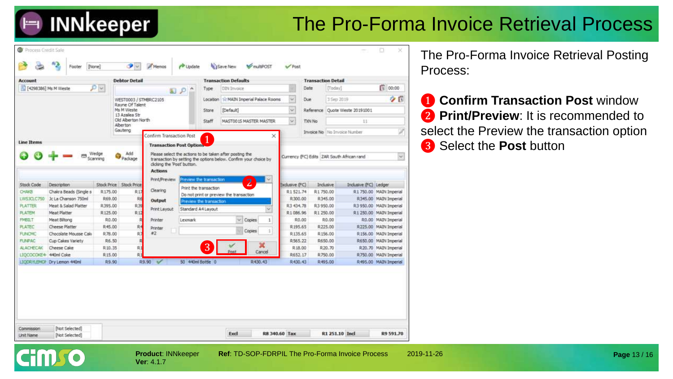### The Pro-Forma Invoice Retrieval Process

| <b>Account</b>        |                             |          | <b>Debtor Detail</b>                |                                               |                         |                         | <b>Transaction Defaults</b>                                      |         |                    | <b>Transaction Detail</b>                    |                 |                                |                         |
|-----------------------|-----------------------------|----------|-------------------------------------|-----------------------------------------------|-------------------------|-------------------------|------------------------------------------------------------------|---------|--------------------|----------------------------------------------|-----------------|--------------------------------|-------------------------|
| [4298386] Ms M Weste  |                             | $D -$    |                                     |                                               | $\sim$<br>国の            | Type                    | DDV-Trivoice                                                     |         |                    | Date                                         | [Today]         |                                | 1 00:00                 |
|                       |                             |          | WEST0003 / STMBRC2105               |                                               |                         |                         | Location 11: MAIN Imperial Palace Rooms                          |         | $\omega$           | Due                                          | 3 Sep 2019      |                                | クロ                      |
|                       |                             |          | Rayne Of Talent<br>Ms M Weste       |                                               |                         | Store                   | [Default]                                                        |         | se.                |                                              |                 | Reference Quote Weste 20191001 |                         |
|                       |                             |          | 13 Azalea Str<br>Old Alberton North |                                               |                         |                         |                                                                  |         | $\omega$           |                                              |                 |                                |                         |
|                       |                             |          | Alberton                            |                                               |                         | Staff                   | MAST0015 MASTER MASTER                                           |         |                    | TXN No                                       |                 | 11                             |                         |
|                       |                             |          | Gauteng                             | Confirm Transaction Post                      |                         | $\blacktriangleleft$    |                                                                  | ×       |                    | <b>Invoice No</b> No Invoice Number          |                 |                                |                         |
| <b>Line Items</b>     |                             |          |                                     | <b>Transaction Post Options</b>               |                         |                         |                                                                  |         |                    |                                              |                 |                                |                         |
|                       |                             | Wedge    | Add                                 |                                               |                         |                         | Please select the actions to be taken after posting the          |         |                    |                                              |                 |                                |                         |
|                       |                             | Scanning | Package                             |                                               |                         |                         | transaction by setting the options below. Confirm your choice by |         |                    | Currency (FC) Edits   ZAR South African rand |                 |                                | $\sim$                  |
|                       |                             |          |                                     | clicking the 'Post' button.<br><b>Actions</b> |                         |                         |                                                                  |         |                    |                                              |                 |                                |                         |
|                       |                             |          |                                     |                                               |                         |                         |                                                                  |         |                    |                                              |                 |                                |                         |
| <b>Stock Code</b>     | <b>Description</b>          |          | Stock Price Stock Price             | Print/Preview                                 |                         | Preview the transaction | $\overline{2}$                                                   |         | Exclusive (FC)     |                                              | <b>Indusive</b> | Indusive (FC) Ledger           |                         |
| CHAKE                 | Chakra Beads (Single s      | R175.00  | R <sub>17</sub>                     | Clearing                                      |                         | Print the transaction   |                                                                  |         | R1521.74           | R1750.00                                     |                 |                                | R1 750.00 MAIN Imperial |
| LWS3CLC750            | Jc La Chanson 750ml         | R69.00   | R6                                  | Output                                        | Preview the transaction |                         | Do not print or preview the transaction                          |         | R300.00            |                                              | R345.00         |                                | R345.00 MAIN Imperial   |
| <b>PLATTER</b>        | Meat & Salad Platter        | R395.00  | <b>R39</b>                          | Print Layout                                  | Standard A4 Layout      |                         |                                                                  |         | R3 434.78          | R3950.00                                     |                 |                                | R3 950.00 MAIN Imperial |
| <b>PLATEM</b>         | Meat Platter                | R125.00  | R12                                 |                                               |                         |                         |                                                                  |         | R1086.96           | R1 250.00                                    |                 |                                | R1 250.00 MAIN Imperial |
| FMBILT                | Meat Biltong                | R.O.O.   |                                     | Printer                                       | Lexomark                |                         | $\sim$<br>Copies                                                 | 1       |                    | R0.00                                        | R.G.00          |                                | R0.00 MAIN Imperial     |
| <b>PLATEC</b>         | <b>Cheese Platter</b>       | R45.00   | R                                   | Printer                                       |                         |                         | Copies                                                           | 3       | R195.65            |                                              | R225.00         |                                | R225.00 MAIN Imperial   |
| <b>FUNCMC</b>         | Chocolate Mousse Caki       | R.78.00  | R)                                  | #2                                            |                         |                         |                                                                  |         | R135.65            |                                              | R156.00         |                                | R 156.00 MAIN Imperial  |
| <b>FUNPAC</b>         | Cup Cakes Variety           | R6.50    |                                     |                                               |                         |                         |                                                                  | ×       | R565.22            |                                              | R650.00         |                                | R650.00 MAIN Imperial   |
| <b>ALACHECAK</b>      | Cheese Cake                 | R10.35   | R1                                  |                                               |                         | 3                       |                                                                  | Cancel  | R <sub>18.00</sub> |                                              | R20.70          |                                | R20.70 MAIN Imperial    |
| LIQCOCOKE4 440ml Coke |                             | R15.00   | R.                                  |                                               |                         |                         |                                                                  |         | R652.17            |                                              | R750.00         |                                | R750.00 MAIN Imperial   |
|                       | LICERYLEMCP Erv Lemon 440ml | R9.90    |                                     | R9.90 V                                       | 50 440ml Bottle 0       |                         |                                                                  | R430.43 | R430.43            |                                              | R495.08         |                                | R495.00 MAIN Imperial   |

**Ver**: 4.1.7

**Product**: INNkeeper **Ref**: TD-SOP-FDRPIL The Pro-Forma Invoice Process 2019-11-26

The Pro-Forma Invoice Retrieval Posting Process:

**1 Confirm Transaction Post window 2 Print/Preview**: It is recommended to select the Preview the transaction option <br>
<sup>3</sup> Select the **Post** button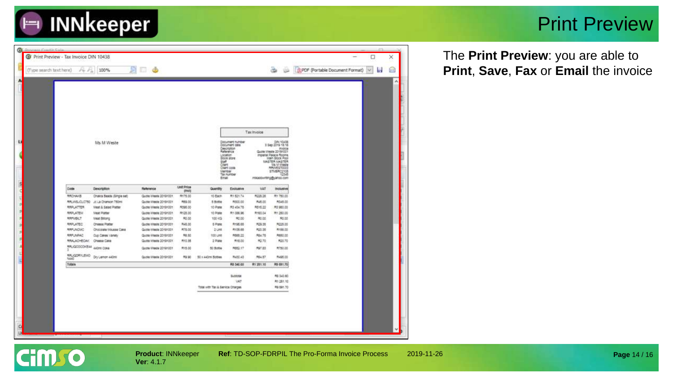

#### Print Preview

| Tax Invoice<br>DIN 10438<br>Document number<br>Ms M Weste<br>Document sale<br>Oescription<br><b>Invoice</b><br>Quote Vireste 2019/1001<br>Raterence<br>Locaton<br>Impertal Palace Rooms<br><b>Brock store</b><br>Main Stock Pool<br><b><i>MASTER MASTER</i></b><br><b>SUIT</b><br>Clert<br><b>Ms M Viveste</b><br>Client code<br><b>MAVIESTODOS</b><br>Member<br>STMBRC2105<br>Tax number<br>12545<br>Email<br>mikaddiwrting@jahoo.com<br>Unit Price<br>Code<br>Description<br>Ratenence<br>VAT<br>Quantity<br>Excluative<br><b>Inclusive</b><br><b>OVALL</b><br>19175.00<br>W1 821.74<br>P020.28<br>Rt 780.00<br><b>RROWUS</b><br>Chairs Seats (Single set)<br>Quitte Weste 20191001<br>10-Each<br><b>RRUNSJOLOTSO</b><br>JC La Chanson 750ml<br>Quite Viesle 20191001<br>7029.00<br>5 Botte<br>PC000.00<br>A46.00<br>P0145.00<br><b>RS15.22</b><br><b>RAPLATTER</b><br><b>Mast &amp; Salad Platter</b><br>Quote Wiesle 20191001<br>M395.00<br>10-Ptmt<br>R3 454.75<br>PI3 980.00<br><b>RADUATELY</b><br><b>Meat Platter</b><br>Quote Weeke 20191001<br>R128.00<br>R1-086.96<br>R163.04<br>PH 250.00<br>10 Plate<br>R0.00<br>70.00<br>A1.00<br>R0.00<br>RAPIJSLT<br><b>Meat Bittong</b><br>Quote Viessle 20191001<br>100.402<br><b>RAPLATEC</b><br><b>RA5.00</b><br>R195.68<br><b>F29.38</b><br>R225.00<br><b>Cheese Platter</b><br>Quote Wassle 20191001<br>6.Ptgse<br><b>M20.55</b><br><b>RAFLINOMO</b><br>Chocolale Nousse Cane<br>Quote Wieste 20191001<br><b>PTS.00</b><br>$2$ CHE<br>R135.68<br>R155.00<br><b>RAFLINIAC</b><br>98.85<br>A680.00<br>Quina Vilwate 20191001<br>100 LPR<br>R688.22<br><b>PS4.78</b><br>Cup Calves Vanety<br>RAKLAD BOAY ONese Calls<br>Quite Weels 2019/001<br><b>M10.00</b><br>92.70<br>R25.70<br><b>R10.35</b><br>2 Piate<br>RAUGOODICAL 440m COA<br>Quite Vieus 20191001<br>P15.00<br>50 Botte<br>R662.17<br>P27.83<br>R750.00<br>RAUGORYLENO Dy Lenon HOM<br><b>R64.57</b><br>R495.00<br>Quote Villette 2019/001<br><b>PO 30</b><br>50 x 440m Sottes<br>R430.43<br>10640 | (Type search text here)<br>$1 + 12$ | 100% | <b>SE 6</b> |  |                   |                 | a.               | DPDF (Portable Document Format) v |  |
|------------------------------------------------------------------------------------------------------------------------------------------------------------------------------------------------------------------------------------------------------------------------------------------------------------------------------------------------------------------------------------------------------------------------------------------------------------------------------------------------------------------------------------------------------------------------------------------------------------------------------------------------------------------------------------------------------------------------------------------------------------------------------------------------------------------------------------------------------------------------------------------------------------------------------------------------------------------------------------------------------------------------------------------------------------------------------------------------------------------------------------------------------------------------------------------------------------------------------------------------------------------------------------------------------------------------------------------------------------------------------------------------------------------------------------------------------------------------------------------------------------------------------------------------------------------------------------------------------------------------------------------------------------------------------------------------------------------------------------------------------------------------------------------------------------------------------------------------------------------------------------------------------------------------------------------------------------------------------------------------------------------|-------------------------------------|------|-------------|--|-------------------|-----------------|------------------|-----------------------------------|--|
|                                                                                                                                                                                                                                                                                                                                                                                                                                                                                                                                                                                                                                                                                                                                                                                                                                                                                                                                                                                                                                                                                                                                                                                                                                                                                                                                                                                                                                                                                                                                                                                                                                                                                                                                                                                                                                                                                                                                                                                                                  |                                     |      |             |  |                   |                 |                  |                                   |  |
|                                                                                                                                                                                                                                                                                                                                                                                                                                                                                                                                                                                                                                                                                                                                                                                                                                                                                                                                                                                                                                                                                                                                                                                                                                                                                                                                                                                                                                                                                                                                                                                                                                                                                                                                                                                                                                                                                                                                                                                                                  |                                     |      |             |  |                   |                 |                  |                                   |  |
|                                                                                                                                                                                                                                                                                                                                                                                                                                                                                                                                                                                                                                                                                                                                                                                                                                                                                                                                                                                                                                                                                                                                                                                                                                                                                                                                                                                                                                                                                                                                                                                                                                                                                                                                                                                                                                                                                                                                                                                                                  |                                     |      |             |  |                   |                 |                  |                                   |  |
|                                                                                                                                                                                                                                                                                                                                                                                                                                                                                                                                                                                                                                                                                                                                                                                                                                                                                                                                                                                                                                                                                                                                                                                                                                                                                                                                                                                                                                                                                                                                                                                                                                                                                                                                                                                                                                                                                                                                                                                                                  |                                     |      |             |  |                   |                 |                  |                                   |  |
|                                                                                                                                                                                                                                                                                                                                                                                                                                                                                                                                                                                                                                                                                                                                                                                                                                                                                                                                                                                                                                                                                                                                                                                                                                                                                                                                                                                                                                                                                                                                                                                                                                                                                                                                                                                                                                                                                                                                                                                                                  |                                     |      |             |  |                   |                 |                  |                                   |  |
|                                                                                                                                                                                                                                                                                                                                                                                                                                                                                                                                                                                                                                                                                                                                                                                                                                                                                                                                                                                                                                                                                                                                                                                                                                                                                                                                                                                                                                                                                                                                                                                                                                                                                                                                                                                                                                                                                                                                                                                                                  |                                     |      |             |  |                   |                 |                  |                                   |  |
|                                                                                                                                                                                                                                                                                                                                                                                                                                                                                                                                                                                                                                                                                                                                                                                                                                                                                                                                                                                                                                                                                                                                                                                                                                                                                                                                                                                                                                                                                                                                                                                                                                                                                                                                                                                                                                                                                                                                                                                                                  |                                     |      |             |  |                   |                 |                  |                                   |  |
|                                                                                                                                                                                                                                                                                                                                                                                                                                                                                                                                                                                                                                                                                                                                                                                                                                                                                                                                                                                                                                                                                                                                                                                                                                                                                                                                                                                                                                                                                                                                                                                                                                                                                                                                                                                                                                                                                                                                                                                                                  |                                     |      |             |  |                   |                 |                  |                                   |  |
|                                                                                                                                                                                                                                                                                                                                                                                                                                                                                                                                                                                                                                                                                                                                                                                                                                                                                                                                                                                                                                                                                                                                                                                                                                                                                                                                                                                                                                                                                                                                                                                                                                                                                                                                                                                                                                                                                                                                                                                                                  |                                     |      |             |  |                   |                 |                  |                                   |  |
|                                                                                                                                                                                                                                                                                                                                                                                                                                                                                                                                                                                                                                                                                                                                                                                                                                                                                                                                                                                                                                                                                                                                                                                                                                                                                                                                                                                                                                                                                                                                                                                                                                                                                                                                                                                                                                                                                                                                                                                                                  |                                     |      |             |  |                   |                 |                  |                                   |  |
|                                                                                                                                                                                                                                                                                                                                                                                                                                                                                                                                                                                                                                                                                                                                                                                                                                                                                                                                                                                                                                                                                                                                                                                                                                                                                                                                                                                                                                                                                                                                                                                                                                                                                                                                                                                                                                                                                                                                                                                                                  |                                     |      |             |  |                   |                 |                  |                                   |  |
|                                                                                                                                                                                                                                                                                                                                                                                                                                                                                                                                                                                                                                                                                                                                                                                                                                                                                                                                                                                                                                                                                                                                                                                                                                                                                                                                                                                                                                                                                                                                                                                                                                                                                                                                                                                                                                                                                                                                                                                                                  |                                     |      |             |  |                   |                 |                  |                                   |  |
|                                                                                                                                                                                                                                                                                                                                                                                                                                                                                                                                                                                                                                                                                                                                                                                                                                                                                                                                                                                                                                                                                                                                                                                                                                                                                                                                                                                                                                                                                                                                                                                                                                                                                                                                                                                                                                                                                                                                                                                                                  |                                     |      |             |  |                   |                 |                  |                                   |  |
|                                                                                                                                                                                                                                                                                                                                                                                                                                                                                                                                                                                                                                                                                                                                                                                                                                                                                                                                                                                                                                                                                                                                                                                                                                                                                                                                                                                                                                                                                                                                                                                                                                                                                                                                                                                                                                                                                                                                                                                                                  |                                     |      |             |  |                   |                 |                  |                                   |  |
|                                                                                                                                                                                                                                                                                                                                                                                                                                                                                                                                                                                                                                                                                                                                                                                                                                                                                                                                                                                                                                                                                                                                                                                                                                                                                                                                                                                                                                                                                                                                                                                                                                                                                                                                                                                                                                                                                                                                                                                                                  | Totals                              |      |             |  | <b>PIS 340.68</b> | <b>R1251.10</b> | <b>RS-591.70</b> |                                   |  |
|                                                                                                                                                                                                                                                                                                                                                                                                                                                                                                                                                                                                                                                                                                                                                                                                                                                                                                                                                                                                                                                                                                                                                                                                                                                                                                                                                                                                                                                                                                                                                                                                                                                                                                                                                                                                                                                                                                                                                                                                                  |                                     |      |             |  | <b>Subtotal</b>   |                 | R8 340-60        |                                   |  |
|                                                                                                                                                                                                                                                                                                                                                                                                                                                                                                                                                                                                                                                                                                                                                                                                                                                                                                                                                                                                                                                                                                                                                                                                                                                                                                                                                                                                                                                                                                                                                                                                                                                                                                                                                                                                                                                                                                                                                                                                                  |                                     |      |             |  | <b>UAT</b>        |                 | <b>M1 281 10</b> |                                   |  |
|                                                                                                                                                                                                                                                                                                                                                                                                                                                                                                                                                                                                                                                                                                                                                                                                                                                                                                                                                                                                                                                                                                                                                                                                                                                                                                                                                                                                                                                                                                                                                                                                                                                                                                                                                                                                                                                                                                                                                                                                                  |                                     |      |             |  |                   |                 | RS 691.70        |                                   |  |

The **Print Preview**: you are able to **Print**, **Save**, **Fax** or **Email** the invoice



**Ver**: 4.1.7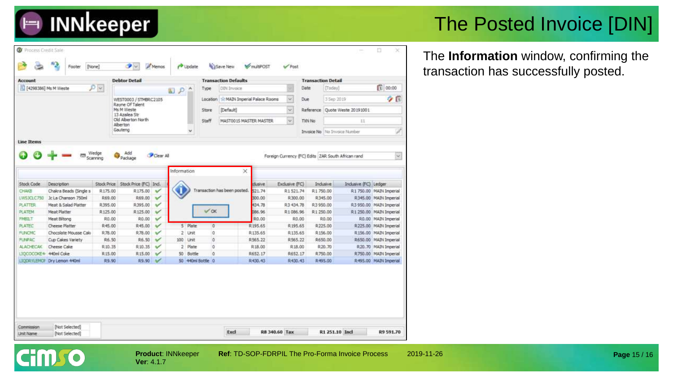

### The Posted Invoice [DIN]

The **Information** window, confirming the transaction has successfully posted.

| Account               |                             |              | <b>Debtor Detail</b>           |                       |             |           |                   | <b>Transaction Defaults</b>         |         |               | <b>Transaction Detail</b> |            |                                                    |                          |
|-----------------------|-----------------------------|--------------|--------------------------------|-----------------------|-------------|-----------|-------------------|-------------------------------------|---------|---------------|---------------------------|------------|----------------------------------------------------|--------------------------|
| [4298386] Ms M Weste  |                             | $P$ $\times$ |                                |                       | 国戸へ         |           | Type              | <b>DIN Invoice</b>                  |         |               | Date                      | [Today]    |                                                    | 1 00:00                  |
|                       |                             |              | WEST0003 / STMBRC2105          |                       |             |           | Location          | 12 MAIN Imperial Palace Rooms       |         | $\omega$      | Due                       | 3 Sep 2019 |                                                    | 夕日                       |
|                       |                             |              | Rayne Of Talent<br>Ms M Weste  |                       |             |           | Store             | [Default]                           |         | $\sim$        |                           |            | Reference Quote Weste 20191001                     |                          |
|                       |                             |              | 13 Azalea Str                  |                       |             |           |                   |                                     |         |               |                           |            |                                                    |                          |
|                       |                             |              | Old Alberton North<br>Alberton |                       |             |           | Staff             | MASTO01S MASTER MASTER.             |         | $\omega$      | <b>TXIN No</b>            |            | 11                                                 |                          |
|                       |                             |              | Gauteno                        |                       |             | $\sim$    |                   |                                     |         |               |                           |            | <b>Invoice No</b> No Invoice Number                |                          |
| <b>Line Items</b>     |                             |              |                                |                       |             |           |                   |                                     |         |               |                           |            |                                                    |                          |
|                       |                             |              |                                |                       |             |           |                   |                                     |         |               |                           |            |                                                    |                          |
|                       | 85                          | Wedge        | Add                            | Clear All             |             |           |                   |                                     |         |               |                           |            | Foreign Currency (FC) Edits ZAR South African rand | $\sim$                   |
|                       |                             | Scanning     | Package                        |                       |             |           |                   |                                     |         |               |                           |            |                                                    |                          |
|                       |                             |              |                                |                       | Information |           |                   | $\times$                            |         |               |                           |            |                                                    |                          |
|                       |                             |              |                                |                       |             |           |                   |                                     |         |               |                           |            |                                                    |                          |
| Stock Code            | Description                 | Stock Price  | Stock Price (FC) Ind.          |                       |             |           |                   |                                     | dusive  | Exdusive (FC) |                           | Indusive   | Indusive (FC) Ledger                               |                          |
| CHAKE                 | Chakra Beads (Single s      | R175.00      | R175.00                        | $\checkmark$          |             |           |                   | Transaction has been posted. 521.74 |         | R1521.74      | R1750.00                  |            |                                                    | R1 750.00 MAIN Imperial  |
| LWS3CLC750            | Jc La Chanson 750ml         | R69.00       | R69.00                         | $\mathbf{v}^{\prime}$ |             |           |                   |                                     | 300.00  | R300.00       |                           | R345.00    |                                                    | R345.00 MAIN Imperial    |
| <b>PLATTER</b>        | Meat & Salad Platter        | R395.00      | R395.00                        | $\checkmark$          |             |           |                   |                                     | 434.78  | R3 434.78     | R3950.00                  |            |                                                    | R.3 950.00 MAIN Imperial |
| PLATEM                | Meat Platter                | R125.00      | R125.00                        | ✓                     |             |           | <b>VOK</b>        |                                     | 086.96  | R1086.96      | R1-250.00                 |            |                                                    | R1 250.00 MAIN Imperial  |
| <b>FMBRT</b>          | Meat Biltong                | R0.00        | R0.00                          | $\checkmark$          |             |           |                   |                                     | R.D.00  |               | R0.00                     | R0.00      |                                                    | RO.00 MAIN Imperial      |
| <b>PLATEC</b>         | Cheese Platter              | R45.00       | R45.00                         | ✓                     |             | 5 Plate   | $\ddot{\rm{o}}$   |                                     | R195.65 | R195.65       |                           | R225.00    |                                                    | R225.00 MAIN Imperial    |
| <b>FUNCMC</b>         | Chocolate Mousse Caki       | R78.00       | R.78.00                        | v                     |             | 2 Unit    | 0                 |                                     | R135.65 | R135.65       |                           | R156.00    |                                                    | R156.00 MAIN Imperial    |
| <b>FUNPAC</b>         | Cup Cakes Variety           | R.6.50       | R6.50                          | v                     |             | 100 Unit  | ö                 |                                     | R565.22 | R.565.22      |                           | R650.00    |                                                    | R650.00 MAIN Imperial    |
| <b>ALACHECAK</b>      | Cheese Cake                 | R10.35       | R 10.35                        | v                     |             | 2 Plate   | ö                 |                                     | R18.00  | R18.00        |                           | R.20.70    |                                                    | R.20.70 MAIN Imperial    |
| LIQCOCOKE4 440ml Coke |                             | R.15.00      | R15.00                         | $\checkmark$          |             | 50 Bottle | $\circ$           |                                     | R652.17 | R652.17       |                           | R750.00    |                                                    | R750.00 MAIN Imperial    |
|                       | LIQDRYLEMOF Dry Lemon 440ml | R9.90        | R9.90                          | $\mathcal{C}$         |             |           | 50 440ml Bottle 0 |                                     | R430.43 | R430.43       |                           | R495.00    |                                                    | R495.00 MAIN Imperial    |

**Ver**: 4.1.7